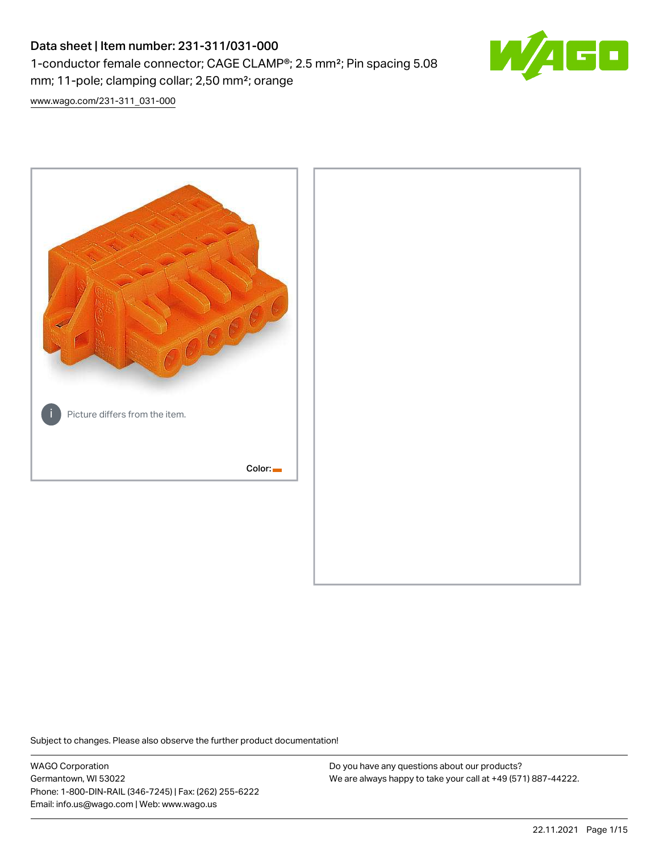# Data sheet | Item number: 231-311/031-000 1-conductor female connector; CAGE CLAMP®; 2.5 mm²; Pin spacing 5.08 mm; 11-pole; clamping collar; 2,50 mm²; orange



[www.wago.com/231-311\\_031-000](http://www.wago.com/231-311_031-000)



Subject to changes. Please also observe the further product documentation!

WAGO Corporation Germantown, WI 53022 Phone: 1-800-DIN-RAIL (346-7245) | Fax: (262) 255-6222 Email: info.us@wago.com | Web: www.wago.us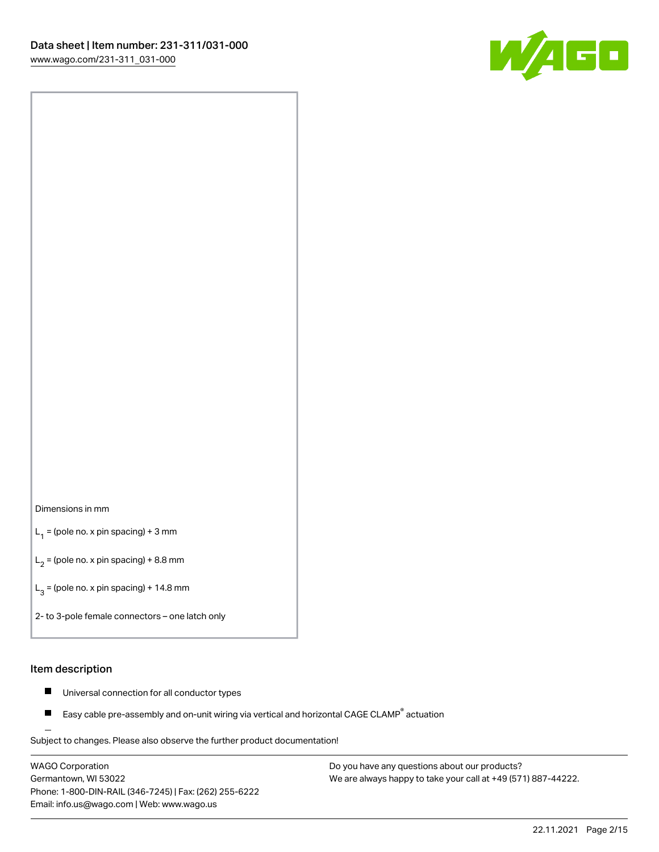

#### Dimensions in mm

 $L_1$  = (pole no. x pin spacing) + 3 mm

 $L_2$  = (pole no. x pin spacing) + 8.8 mm

 $L_3$  = (pole no. x pin spacing) + 14.8 mm

2- to 3-pole female connectors – one latch only

#### Item description

- $\blacksquare$ Universal connection for all conductor types
- Easy cable pre-assembly and on-unit wiring via vertical and horizontal CAGE CLAMP<sup>®</sup> actuation П

.<br>Subject to changes. Please also observe the further product documentation!

WAGO Corporation Germantown, WI 53022 Phone: 1-800-DIN-RAIL (346-7245) | Fax: (262) 255-6222 Email: info.us@wago.com | Web: www.wago.us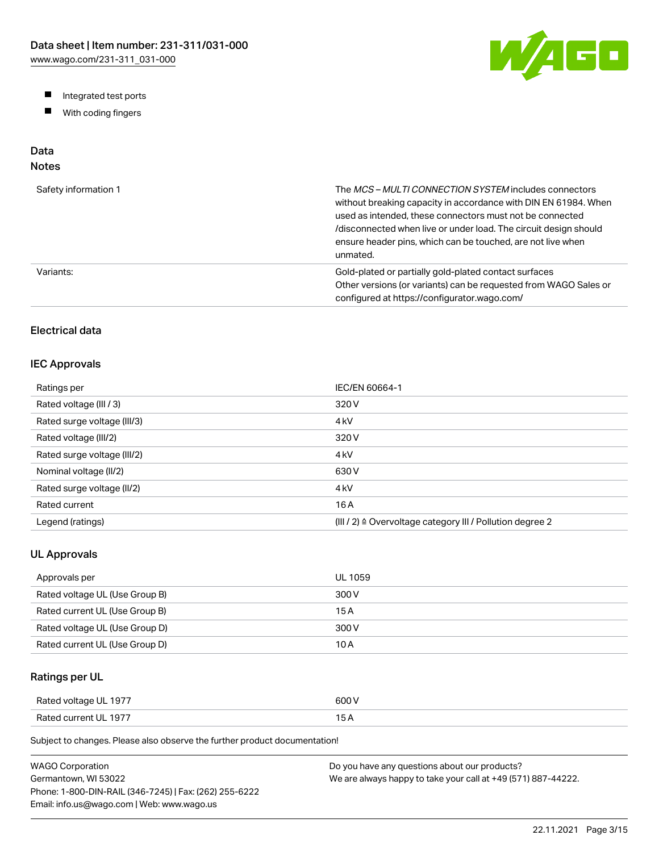W/AGO

- Integrated test ports
- $\blacksquare$ With coding fingers

# Data

# Notes

| Safety information 1 | The MCS-MULTI CONNECTION SYSTEM includes connectors<br>without breaking capacity in accordance with DIN EN 61984. When<br>used as intended, these connectors must not be connected<br>/disconnected when live or under load. The circuit design should<br>ensure header pins, which can be touched, are not live when<br>unmated. |
|----------------------|-----------------------------------------------------------------------------------------------------------------------------------------------------------------------------------------------------------------------------------------------------------------------------------------------------------------------------------|
| Variants:            | Gold-plated or partially gold-plated contact surfaces<br>Other versions (or variants) can be requested from WAGO Sales or<br>configured at https://configurator.wago.com/                                                                                                                                                         |

## Electrical data

### IEC Approvals

| Ratings per                 | IEC/EN 60664-1                                                        |
|-----------------------------|-----------------------------------------------------------------------|
| Rated voltage (III / 3)     | 320 V                                                                 |
| Rated surge voltage (III/3) | 4 <sub>kV</sub>                                                       |
| Rated voltage (III/2)       | 320 V                                                                 |
| Rated surge voltage (III/2) | 4 <sub>kV</sub>                                                       |
| Nominal voltage (II/2)      | 630 V                                                                 |
| Rated surge voltage (II/2)  | 4 <sub>kV</sub>                                                       |
| Rated current               | 16 A                                                                  |
| Legend (ratings)            | $(III / 2)$ $\triangle$ Overvoltage category III / Pollution degree 2 |

### UL Approvals

| Approvals per                  | <b>UL 1059</b> |
|--------------------------------|----------------|
| Rated voltage UL (Use Group B) | 300 V          |
| Rated current UL (Use Group B) | 15 A           |
| Rated voltage UL (Use Group D) | 300 V          |
| Rated current UL (Use Group D) | 10 A           |

## Ratings per UL

| Rated voltage UL 1977 | 600 V  |
|-----------------------|--------|
| Rated current UL 1977 | $\sim$ |

| WAGO Corporation                                       | Do you have any questions about our products?                 |
|--------------------------------------------------------|---------------------------------------------------------------|
| Germantown. WI 53022                                   | We are always happy to take your call at +49 (571) 887-44222. |
| Phone: 1-800-DIN-RAIL (346-7245)   Fax: (262) 255-6222 |                                                               |
| Email: info.us@wago.com   Web: www.wago.us             |                                                               |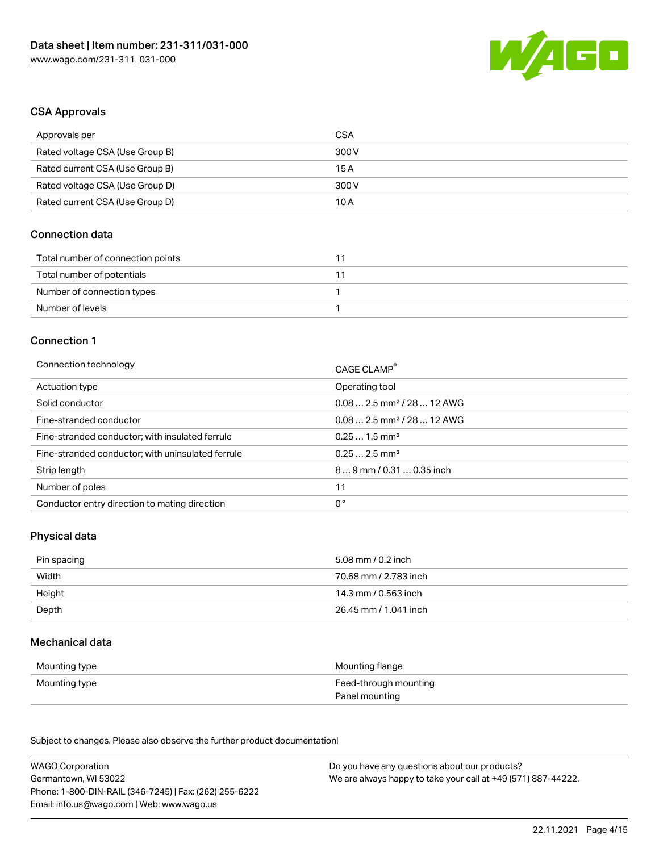

#### CSA Approvals

| Approvals per                   | CSA   |
|---------------------------------|-------|
| Rated voltage CSA (Use Group B) | 300 V |
| Rated current CSA (Use Group B) | 15 A  |
| Rated voltage CSA (Use Group D) | 300 V |
| Rated current CSA (Use Group D) | 10 A  |

### Connection data

| Total number of connection points |  |
|-----------------------------------|--|
| Total number of potentials        |  |
| Number of connection types        |  |
| Number of levels                  |  |

#### Connection 1

| Connection technology                             | CAGE CLAMP®                            |
|---------------------------------------------------|----------------------------------------|
| Actuation type                                    | Operating tool                         |
| Solid conductor                                   | $0.082.5$ mm <sup>2</sup> / 28  12 AWG |
| Fine-stranded conductor                           | $0.082.5$ mm <sup>2</sup> / 28  12 AWG |
| Fine-stranded conductor; with insulated ferrule   | $0.251.5$ mm <sup>2</sup>              |
| Fine-stranded conductor; with uninsulated ferrule | $0.252.5$ mm <sup>2</sup>              |
| Strip length                                      | $89$ mm / 0.31  0.35 inch              |
| Number of poles                                   | 11                                     |
| Conductor entry direction to mating direction     | 0°                                     |
|                                                   |                                        |

### Physical data

| Pin spacing | 5.08 mm / 0.2 inch    |
|-------------|-----------------------|
| Width       | 70.68 mm / 2.783 inch |
| Height      | 14.3 mm / 0.563 inch  |
| Depth       | 26.45 mm / 1.041 inch |

#### Mechanical data

| Mounting type | Mounting flange                         |
|---------------|-----------------------------------------|
| Mounting type | Feed-through mounting<br>Panel mounting |

| <b>WAGO Corporation</b>                                | Do you have any questions about our products?                 |
|--------------------------------------------------------|---------------------------------------------------------------|
| Germantown, WI 53022                                   | We are always happy to take your call at +49 (571) 887-44222. |
| Phone: 1-800-DIN-RAIL (346-7245)   Fax: (262) 255-6222 |                                                               |
| Email: info.us@wago.com   Web: www.wago.us             |                                                               |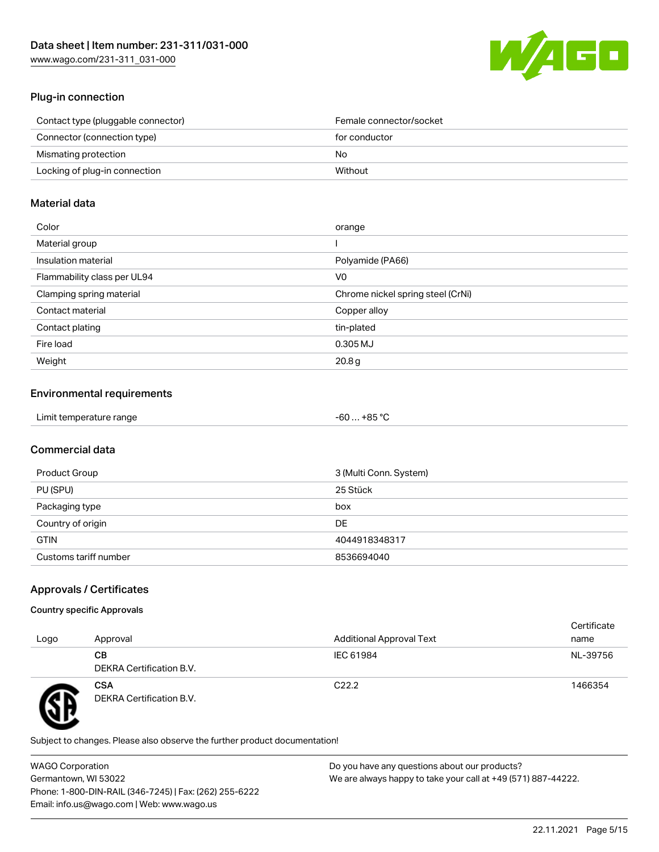

### Plug-in connection

| Contact type (pluggable connector) | Female connector/socket |
|------------------------------------|-------------------------|
| Connector (connection type)        | for conductor           |
| Mismating protection               | No.                     |
| Locking of plug-in connection      | Without                 |
|                                    |                         |

### Material data

| Color                       | orange                            |
|-----------------------------|-----------------------------------|
| Material group              |                                   |
| Insulation material         | Polyamide (PA66)                  |
| Flammability class per UL94 | V0                                |
| Clamping spring material    | Chrome nickel spring steel (CrNi) |
| Contact material            | Copper alloy                      |
| Contact plating             | tin-plated                        |
| Fire load                   | 0.305 MJ                          |
| Weight                      | 20.8 <sub>g</sub>                 |

### Environmental requirements

| Limit temperature range | $+85 °C$<br>-60 … |  |
|-------------------------|-------------------|--|
|-------------------------|-------------------|--|

## Commercial data

| Product Group         | 3 (Multi Conn. System) |
|-----------------------|------------------------|
| PU (SPU)              | 25 Stück               |
| Packaging type        | box                    |
| Country of origin     | <b>DE</b>              |
| <b>GTIN</b>           | 4044918348317          |
| Customs tariff number | 8536694040             |

### Approvals / Certificates

#### Country specific Approvals

| Logo | Approval                               | <b>Additional Approval Text</b> | Certificate<br>name |
|------|----------------------------------------|---------------------------------|---------------------|
|      | CВ<br>DEKRA Certification B.V.         | IEC 61984                       | NL-39756            |
| T    | <b>CSA</b><br>DEKRA Certification B.V. | C <sub>22.2</sub>               | 1466354             |

Subject to changes. Please also observe the further product documentation!

WAGO Corporation Germantown, WI 53022 Phone: 1-800-DIN-RAIL (346-7245) | Fax: (262) 255-6222 Email: info.us@wago.com | Web: www.wago.us Do you have any questions about our products? We are always happy to take your call at +49 (571) 887-44222.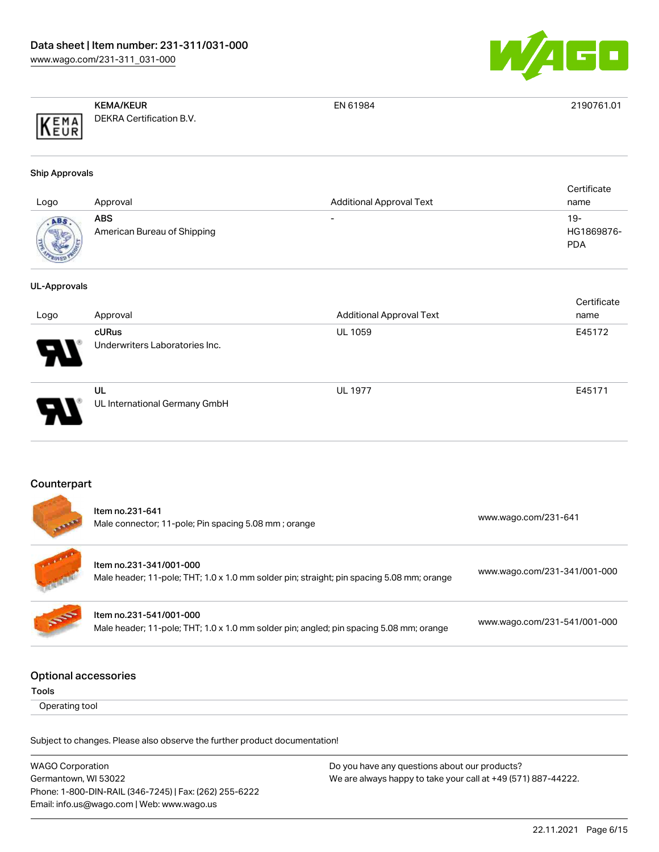

|      | <b>KEMA/KEUR</b>         | EN 61984 | 2190761.01 |
|------|--------------------------|----------|------------|
| KEMA | DEKRA Certification B.V. |          |            |

#### Ship Approvals

| Logo            | Approval                           | <b>Additional Approval Text</b> | Certificate<br>name             |
|-----------------|------------------------------------|---------------------------------|---------------------------------|
| ABS<br>$R_{01}$ | ABS<br>American Bureau of Shipping | $\overline{\phantom{0}}$        | 19-<br>HG1869876-<br><b>PDA</b> |

#### UL-Approvals

|                            |                                         |                                 | Certificate |
|----------------------------|-----------------------------------------|---------------------------------|-------------|
| Logo                       | Approval                                | <b>Additional Approval Text</b> | name        |
| $\boldsymbol{\mathcal{P}}$ | cURus<br>Underwriters Laboratories Inc. | <b>UL 1059</b>                  | E45172      |
| D.                         | UL<br>UL International Germany GmbH     | <b>UL 1977</b>                  | E45171      |

#### Counterpart

| <b>All And</b> | Item no.231-641<br>Male connector; 11-pole; Pin spacing 5.08 mm; orange                                              | www.wago.com/231-641         |
|----------------|----------------------------------------------------------------------------------------------------------------------|------------------------------|
|                | Item no.231-341/001-000<br>Male header; 11-pole; THT; 1.0 x 1.0 mm solder pin; straight; pin spacing 5.08 mm; orange | www.wago.com/231-341/001-000 |
| <b>SOF</b>     | Item no.231-541/001-000<br>Male header; 11-pole; THT; 1.0 x 1.0 mm solder pin; angled; pin spacing 5.08 mm; orange   | www.wago.com/231-541/001-000 |
|                | )ntional accordoriac                                                                                                 |                              |

### Optional accessories

Tools

Operating tool

Subject to changes. Please also observe the further product documentation!

WAGO Corporation Germantown, WI 53022 Phone: 1-800-DIN-RAIL (346-7245) | Fax: (262) 255-6222 Email: info.us@wago.com | Web: www.wago.us Do you have any questions about our products? We are always happy to take your call at +49 (571) 887-44222.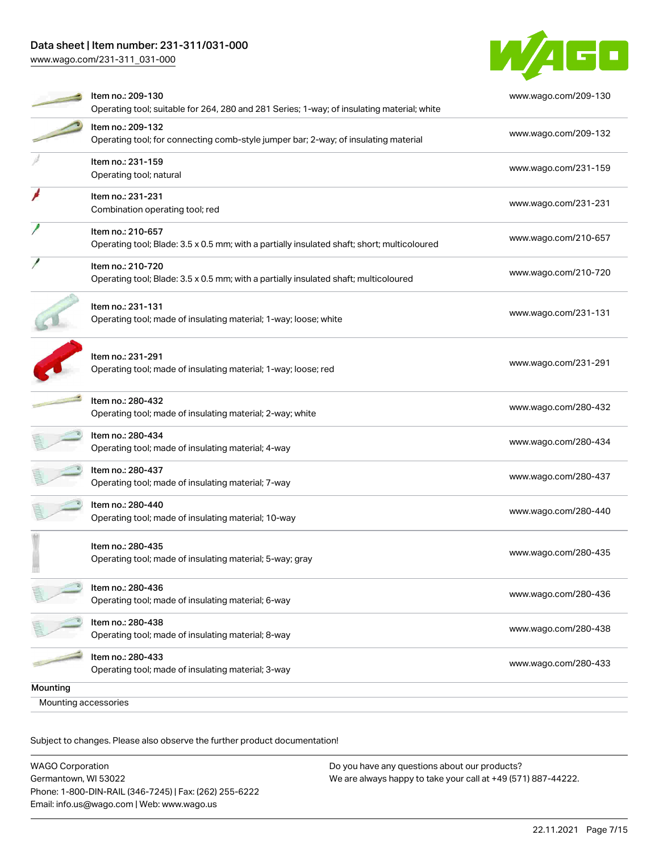## Data sheet | Item number: 231-311/031-000

[www.wago.com/231-311\\_031-000](http://www.wago.com/231-311_031-000)



| Mounting accessories |                                                                                                                  |                      |
|----------------------|------------------------------------------------------------------------------------------------------------------|----------------------|
| Mounting             |                                                                                                                  |                      |
|                      | Item no.: 280-433<br>Operating tool; made of insulating material; 3-way                                          | www.wago.com/280-433 |
|                      | Item no.: 280-438<br>Operating tool; made of insulating material; 8-way                                          | www.wago.com/280-438 |
|                      | Item no.: 280-436<br>Operating tool; made of insulating material; 6-way                                          | www.wago.com/280-436 |
|                      | Item no.: 280-435<br>Operating tool; made of insulating material; 5-way; gray                                    | www.wago.com/280-435 |
|                      | Item no.: 280-440<br>Operating tool; made of insulating material; 10-way                                         | www.wago.com/280-440 |
|                      | Item no.: 280-437<br>Operating tool; made of insulating material; 7-way                                          | www.wago.com/280-437 |
|                      | Item no.: 280-434<br>Operating tool; made of insulating material; 4-way                                          | www.wago.com/280-434 |
|                      | Item no.: 280-432<br>Operating tool; made of insulating material; 2-way; white                                   | www.wago.com/280-432 |
|                      | Item no.: 231-291<br>Operating tool; made of insulating material; 1-way; loose; red                              | www.wago.com/231-291 |
|                      | Item no.: 231-131<br>Operating tool; made of insulating material; 1-way; loose; white                            | www.wago.com/231-131 |
|                      | Item no.: 210-720<br>Operating tool; Blade: 3.5 x 0.5 mm; with a partially insulated shaft; multicoloured        | www.wago.com/210-720 |
|                      | Item no.: 210-657<br>Operating tool; Blade: 3.5 x 0.5 mm; with a partially insulated shaft; short; multicoloured | www.wago.com/210-657 |
|                      | Item no.: 231-231<br>Combination operating tool; red                                                             | www.wago.com/231-231 |
|                      | Item no.: 231-159<br>Operating tool; natural                                                                     | www.wago.com/231-159 |
|                      | Item no.: 209-132<br>Operating tool; for connecting comb-style jumper bar; 2-way; of insulating material         | www.wago.com/209-132 |
|                      | Item no.: 209-130<br>Operating tool; suitable for 264, 280 and 281 Series; 1-way; of insulating material; white  | www.wago.com/209-130 |

| <b>WAGO Corporation</b>                                | Do you have any questions about our products?                 |
|--------------------------------------------------------|---------------------------------------------------------------|
| Germantown, WI 53022                                   | We are always happy to take your call at +49 (571) 887-44222. |
| Phone: 1-800-DIN-RAIL (346-7245)   Fax: (262) 255-6222 |                                                               |
| Email: info.us@wago.com   Web: www.wago.us             |                                                               |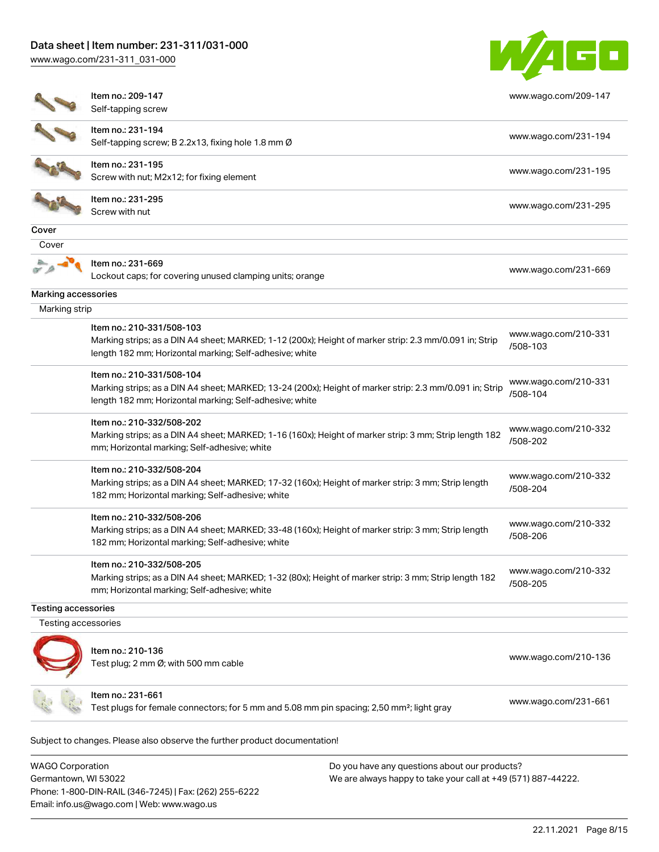[www.wago.com/231-311\\_031-000](http://www.wago.com/231-311_031-000)



|                     | Item no.: 209-147<br>Self-tapping screw                                                                                                                                                         | www.wago.com/209-147             |
|---------------------|-------------------------------------------------------------------------------------------------------------------------------------------------------------------------------------------------|----------------------------------|
|                     | Item no.: 231-194<br>Self-tapping screw; B 2.2x13, fixing hole 1.8 mm Ø                                                                                                                         | www.wago.com/231-194             |
|                     | Item no.: 231-195<br>Screw with nut; M2x12; for fixing element                                                                                                                                  | www.wago.com/231-195             |
|                     | Item no.: 231-295<br>Screw with nut                                                                                                                                                             | www.wago.com/231-295             |
| Cover               |                                                                                                                                                                                                 |                                  |
| Cover               |                                                                                                                                                                                                 |                                  |
|                     | Item no.: 231-669<br>Lockout caps; for covering unused clamping units; orange                                                                                                                   | www.wago.com/231-669             |
| Marking accessories |                                                                                                                                                                                                 |                                  |
| Marking strip       |                                                                                                                                                                                                 |                                  |
|                     | Item no.: 210-331/508-103<br>Marking strips; as a DIN A4 sheet; MARKED; 1-12 (200x); Height of marker strip: 2.3 mm/0.091 in; Strip<br>length 182 mm; Horizontal marking; Self-adhesive; white  | www.wago.com/210-331<br>/508-103 |
|                     | Item no.: 210-331/508-104<br>Marking strips; as a DIN A4 sheet; MARKED; 13-24 (200x); Height of marker strip: 2.3 mm/0.091 in; Strip<br>length 182 mm; Horizontal marking; Self-adhesive; white | www.wago.com/210-331<br>/508-104 |
|                     | Item no.: 210-332/508-202<br>Marking strips; as a DIN A4 sheet; MARKED; 1-16 (160x); Height of marker strip: 3 mm; Strip length 182<br>mm; Horizontal marking; Self-adhesive; white             | www.wago.com/210-332<br>/508-202 |
|                     | Item no.: 210-332/508-204<br>Marking strips; as a DIN A4 sheet; MARKED; 17-32 (160x); Height of marker strip: 3 mm; Strip length<br>182 mm; Horizontal marking; Self-adhesive; white            | www.wago.com/210-332<br>/508-204 |
|                     | Item no.: 210-332/508-206<br>Marking strips; as a DIN A4 sheet; MARKED; 33-48 (160x); Height of marker strip: 3 mm; Strip length<br>182 mm; Horizontal marking; Self-adhesive; white            | www.wago.com/210-332<br>/508-206 |
|                     | Item no.: 210-332/508-205<br>Marking strips; as a DIN A4 sheet; MARKED; 1-32 (80x); Height of marker strip: 3 mm; Strip length 182<br>mm; Horizontal marking; Self-adhesive; white              | www.wago.com/210-332<br>/508-205 |
| Testing accessories |                                                                                                                                                                                                 |                                  |
| Testing accessories |                                                                                                                                                                                                 |                                  |
|                     | Item no.: 210-136<br>Test plug; 2 mm Ø; with 500 mm cable                                                                                                                                       | www.wago.com/210-136             |
|                     | Item no.: 231-661                                                                                                                                                                               | www.wago.com/231-661             |

WAGO Corporation Germantown, WI 53022 Phone: 1-800-DIN-RAIL (346-7245) | Fax: (262) 255-6222 Email: info.us@wago.com | Web: www.wago.us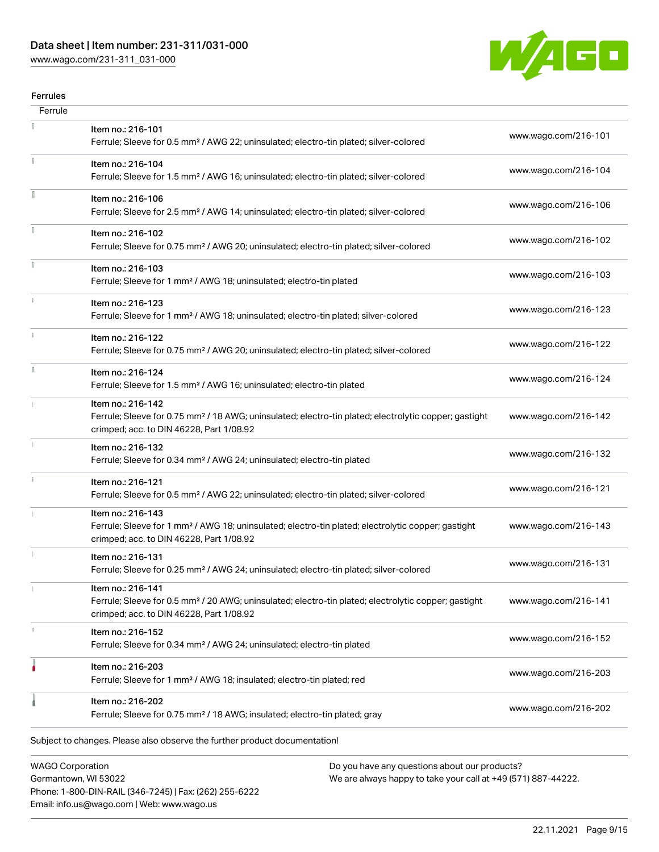# Data sheet | Item number: 231-311/031-000

[www.wago.com/231-311\\_031-000](http://www.wago.com/231-311_031-000)



#### Ferrules

| Ferrule |                                                                                                                                                                                    |                      |
|---------|------------------------------------------------------------------------------------------------------------------------------------------------------------------------------------|----------------------|
|         | Item no.: 216-101<br>Ferrule; Sleeve for 0.5 mm <sup>2</sup> / AWG 22; uninsulated; electro-tin plated; silver-colored                                                             | www.wago.com/216-101 |
|         | Item no.: 216-104<br>Ferrule; Sleeve for 1.5 mm <sup>2</sup> / AWG 16; uninsulated; electro-tin plated; silver-colored                                                             | www.wago.com/216-104 |
|         | Item no.: 216-106<br>Ferrule; Sleeve for 2.5 mm <sup>2</sup> / AWG 14; uninsulated; electro-tin plated; silver-colored                                                             | www.wago.com/216-106 |
|         | Item no.: 216-102<br>Ferrule; Sleeve for 0.75 mm <sup>2</sup> / AWG 20; uninsulated; electro-tin plated; silver-colored                                                            | www.wago.com/216-102 |
|         | Item no.: 216-103<br>Ferrule; Sleeve for 1 mm <sup>2</sup> / AWG 18; uninsulated; electro-tin plated                                                                               | www.wago.com/216-103 |
|         | Item no.: 216-123<br>Ferrule; Sleeve for 1 mm <sup>2</sup> / AWG 18; uninsulated; electro-tin plated; silver-colored                                                               | www.wago.com/216-123 |
|         | Item no.: 216-122<br>Ferrule; Sleeve for 0.75 mm <sup>2</sup> / AWG 20; uninsulated; electro-tin plated; silver-colored                                                            | www.wago.com/216-122 |
| I.      | Item no.: 216-124<br>Ferrule; Sleeve for 1.5 mm <sup>2</sup> / AWG 16; uninsulated; electro-tin plated                                                                             | www.wago.com/216-124 |
|         | Item no.: 216-142<br>Ferrule; Sleeve for 0.75 mm <sup>2</sup> / 18 AWG; uninsulated; electro-tin plated; electrolytic copper; gastight<br>crimped; acc. to DIN 46228, Part 1/08.92 | www.wago.com/216-142 |
|         | Item no.: 216-132<br>Ferrule; Sleeve for 0.34 mm <sup>2</sup> / AWG 24; uninsulated; electro-tin plated                                                                            | www.wago.com/216-132 |
| i.      | Item no.: 216-121<br>Ferrule; Sleeve for 0.5 mm <sup>2</sup> / AWG 22; uninsulated; electro-tin plated; silver-colored                                                             | www.wago.com/216-121 |
|         | Item no.: 216-143<br>Ferrule; Sleeve for 1 mm <sup>2</sup> / AWG 18; uninsulated; electro-tin plated; electrolytic copper; gastight<br>crimped; acc. to DIN 46228, Part 1/08.92    | www.wago.com/216-143 |
|         | Item no.: 216-131<br>Ferrule; Sleeve for 0.25 mm <sup>2</sup> / AWG 24; uninsulated; electro-tin plated; silver-colored                                                            | www.wago.com/216-131 |
|         | Item no.: 216-141<br>Ferrule; Sleeve for 0.5 mm <sup>2</sup> / 20 AWG; uninsulated; electro-tin plated; electrolytic copper; gastight<br>crimped; acc. to DIN 46228, Part 1/08.92  | www.wago.com/216-141 |
|         | Item no.: 216-152<br>Ferrule; Sleeve for 0.34 mm <sup>2</sup> / AWG 24; uninsulated; electro-tin plated                                                                            | www.wago.com/216-152 |
|         | Item no.: 216-203<br>Ferrule; Sleeve for 1 mm <sup>2</sup> / AWG 18; insulated; electro-tin plated; red                                                                            | www.wago.com/216-203 |
|         | Item no.: 216-202<br>Ferrule; Sleeve for 0.75 mm <sup>2</sup> / 18 AWG; insulated; electro-tin plated; gray                                                                        | www.wago.com/216-202 |
|         | Subject to changes. Please also observe the further product documentation!                                                                                                         |                      |
|         |                                                                                                                                                                                    |                      |

WAGO Corporation Germantown, WI 53022 Phone: 1-800-DIN-RAIL (346-7245) | Fax: (262) 255-6222 Email: info.us@wago.com | Web: www.wago.us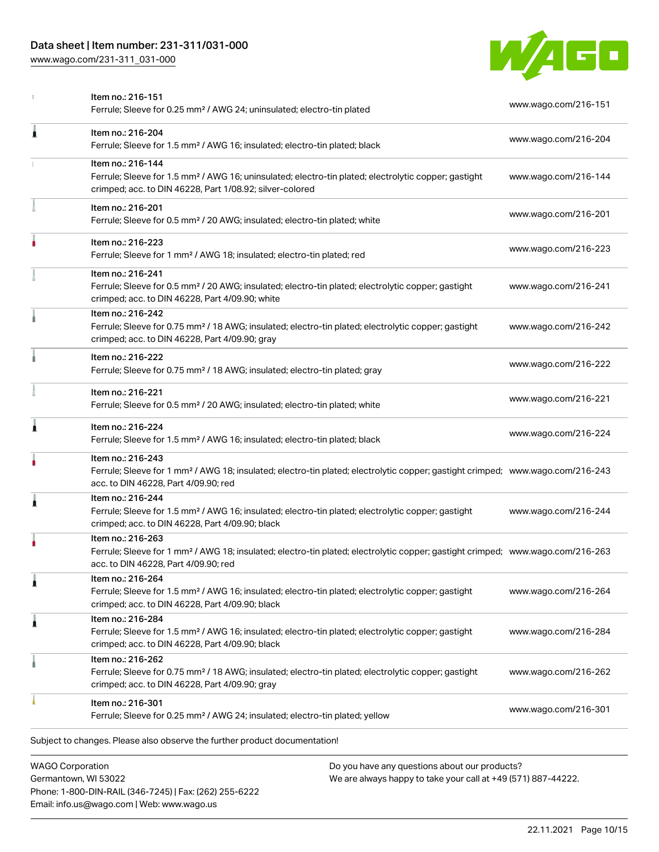## Data sheet | Item number: 231-311/031-000

[www.wago.com/231-311\\_031-000](http://www.wago.com/231-311_031-000)



| <b>WAGO Corporation</b><br>Do you have any questions about our products? |                                                                                                                                                                                                         |                      |
|--------------------------------------------------------------------------|---------------------------------------------------------------------------------------------------------------------------------------------------------------------------------------------------------|----------------------|
|                                                                          | Subject to changes. Please also observe the further product documentation!                                                                                                                              |                      |
|                                                                          | Item no.: 216-301<br>Ferrule; Sleeve for 0.25 mm <sup>2</sup> / AWG 24; insulated; electro-tin plated; yellow                                                                                           | www.wago.com/216-301 |
|                                                                          | Item no.: 216-262<br>Ferrule; Sleeve for 0.75 mm <sup>2</sup> / 18 AWG; insulated; electro-tin plated; electrolytic copper; gastight<br>crimped; acc. to DIN 46228, Part 4/09.90; gray                  | www.wago.com/216-262 |
| 1                                                                        | Item no.: 216-284<br>Ferrule; Sleeve for 1.5 mm <sup>2</sup> / AWG 16; insulated; electro-tin plated; electrolytic copper; gastight<br>crimped; acc. to DIN 46228, Part 4/09.90; black                  | www.wago.com/216-284 |
| 1                                                                        | Item no.: 216-264<br>Ferrule; Sleeve for 1.5 mm <sup>2</sup> / AWG 16; insulated; electro-tin plated; electrolytic copper; gastight<br>crimped; acc. to DIN 46228, Part 4/09.90; black                  | www.wago.com/216-264 |
|                                                                          | Item no.: 216-263<br>Ferrule; Sleeve for 1 mm <sup>2</sup> / AWG 18; insulated; electro-tin plated; electrolytic copper; gastight crimped; www.wago.com/216-263<br>acc. to DIN 46228, Part 4/09.90; red |                      |
| 1                                                                        | Item no.: 216-244<br>Ferrule; Sleeve for 1.5 mm <sup>2</sup> / AWG 16; insulated; electro-tin plated; electrolytic copper; gastight<br>crimped; acc. to DIN 46228, Part 4/09.90; black                  | www.wago.com/216-244 |
|                                                                          | Item no.: 216-243<br>Ferrule; Sleeve for 1 mm <sup>2</sup> / AWG 18; insulated; electro-tin plated; electrolytic copper; gastight crimped; www.wago.com/216-243<br>acc. to DIN 46228, Part 4/09.90; red |                      |
| Ă                                                                        | Item no.: 216-224<br>Ferrule; Sleeve for 1.5 mm <sup>2</sup> / AWG 16; insulated; electro-tin plated; black                                                                                             | www.wago.com/216-224 |
|                                                                          | Item no.: 216-221<br>Ferrule; Sleeve for 0.5 mm <sup>2</sup> / 20 AWG; insulated; electro-tin plated; white                                                                                             | www.wago.com/216-221 |
|                                                                          | Item no.: 216-222<br>Ferrule; Sleeve for 0.75 mm <sup>2</sup> / 18 AWG; insulated; electro-tin plated; gray                                                                                             | www.wago.com/216-222 |
|                                                                          | Item no.: 216-242<br>Ferrule; Sleeve for 0.75 mm <sup>2</sup> / 18 AWG; insulated; electro-tin plated; electrolytic copper; gastight<br>crimped; acc. to DIN 46228, Part 4/09.90; gray                  | www.wago.com/216-242 |
|                                                                          | Item no.: 216-241<br>Ferrule; Sleeve for 0.5 mm <sup>2</sup> / 20 AWG; insulated; electro-tin plated; electrolytic copper; gastight<br>crimped; acc. to DIN 46228, Part 4/09.90; white                  | www.wago.com/216-241 |
|                                                                          | Item no.: 216-223<br>Ferrule; Sleeve for 1 mm <sup>2</sup> / AWG 18; insulated; electro-tin plated; red                                                                                                 | www.wago.com/216-223 |
|                                                                          | Item no.: 216-201<br>Ferrule; Sleeve for 0.5 mm <sup>2</sup> / 20 AWG; insulated; electro-tin plated; white                                                                                             | www.wago.com/216-201 |
|                                                                          | Item no.: 216-144<br>Ferrule; Sleeve for 1.5 mm <sup>2</sup> / AWG 16; uninsulated; electro-tin plated; electrolytic copper; gastight<br>crimped; acc. to DIN 46228, Part 1/08.92; silver-colored       | www.wago.com/216-144 |
| Ă                                                                        | Item no.: 216-204<br>Ferrule; Sleeve for 1.5 mm <sup>2</sup> / AWG 16; insulated; electro-tin plated; black                                                                                             | www.wago.com/216-204 |
|                                                                          | Item no.: 216-151<br>Ferrule; Sleeve for 0.25 mm <sup>2</sup> / AWG 24; uninsulated; electro-tin plated                                                                                                 | www.wago.com/216-151 |

Germantown, WI 53022 Phone: 1-800-DIN-RAIL (346-7245) | Fax: (262) 255-6222 Email: info.us@wago.com | Web: www.wago.us

have any questions about o<mark>l</mark> We are always happy to take your call at +49 (571) 887-44222.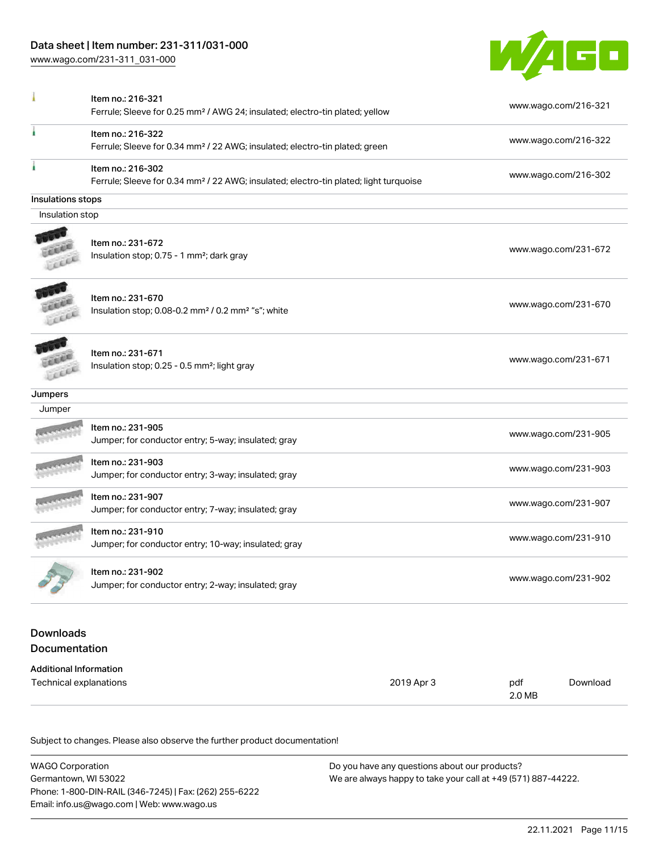[www.wago.com/231-311\\_031-000](http://www.wago.com/231-311_031-000)



|                                   | Ferrule; Sleeve for 0.25 mm <sup>2</sup> / AWG 24; insulated; electro-tin plated; yellow                               |            | www.wago.com/216-321 |                      |  |
|-----------------------------------|------------------------------------------------------------------------------------------------------------------------|------------|----------------------|----------------------|--|
|                                   | Item no.: 216-322<br>Ferrule; Sleeve for 0.34 mm <sup>2</sup> / 22 AWG; insulated; electro-tin plated; green           |            |                      | www.wago.com/216-322 |  |
|                                   | Item no.: 216-302<br>Ferrule; Sleeve for 0.34 mm <sup>2</sup> / 22 AWG; insulated; electro-tin plated; light turquoise |            |                      | www.wago.com/216-302 |  |
| Insulations stops                 |                                                                                                                        |            |                      |                      |  |
| Insulation stop                   |                                                                                                                        |            |                      |                      |  |
|                                   | Item no.: 231-672<br>Insulation stop; 0.75 - 1 mm <sup>2</sup> ; dark gray                                             |            |                      | www.wago.com/231-672 |  |
|                                   |                                                                                                                        |            |                      |                      |  |
|                                   | Item no.: 231-670<br>Insulation stop; 0.08-0.2 mm <sup>2</sup> / 0.2 mm <sup>2</sup> "s"; white                        |            |                      | www.wago.com/231-670 |  |
|                                   | Item no.: 231-671<br>Insulation stop; 0.25 - 0.5 mm <sup>2</sup> ; light gray                                          |            |                      | www.wago.com/231-671 |  |
| Jumpers                           |                                                                                                                        |            |                      |                      |  |
| Jumper                            |                                                                                                                        |            |                      |                      |  |
|                                   | Item no.: 231-905<br>Jumper; for conductor entry; 5-way; insulated; gray                                               |            |                      | www.wago.com/231-905 |  |
|                                   | Item no.: 231-903<br>Jumper; for conductor entry; 3-way; insulated; gray                                               |            |                      | www.wago.com/231-903 |  |
|                                   | Item no.: 231-907<br>Jumper; for conductor entry; 7-way; insulated; gray                                               |            |                      | www.wago.com/231-907 |  |
|                                   | Item no.: 231-910<br>Jumper; for conductor entry; 10-way; insulated; gray                                              |            |                      | www.wago.com/231-910 |  |
|                                   | Item no.: 231-902<br>Jumper; for conductor entry; 2-way; insulated; gray                                               |            | www.wago.com/231-902 |                      |  |
| <b>Downloads</b><br>Documentation |                                                                                                                        |            |                      |                      |  |
| <b>Additional Information</b>     |                                                                                                                        |            |                      |                      |  |
| Technical explanations            |                                                                                                                        | 2019 Apr 3 | pdf<br>2.0 MB        | Download             |  |

| WAGO Corporation                                       | Do you have any questions about our products?                 |  |  |  |
|--------------------------------------------------------|---------------------------------------------------------------|--|--|--|
| Germantown, WI 53022                                   | We are always happy to take your call at +49 (571) 887-44222. |  |  |  |
| Phone: 1-800-DIN-RAIL (346-7245)   Fax: (262) 255-6222 |                                                               |  |  |  |
| Email: info.us@wago.com   Web: www.wago.us             |                                                               |  |  |  |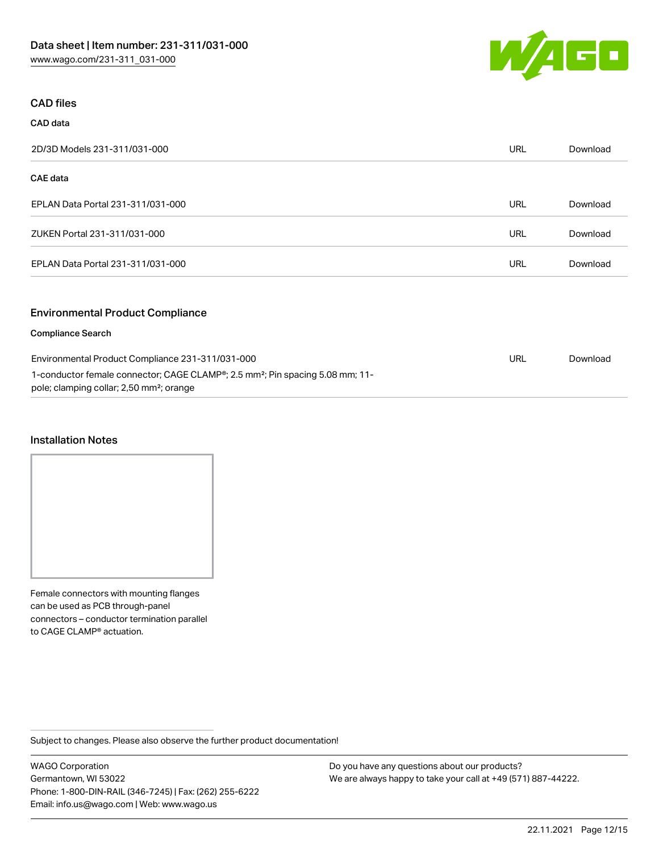

#### CAD files

| CAD data                                                                                                                                                                                                           |            |          |
|--------------------------------------------------------------------------------------------------------------------------------------------------------------------------------------------------------------------|------------|----------|
| 2D/3D Models 231-311/031-000                                                                                                                                                                                       | URL        | Download |
| <b>CAE</b> data                                                                                                                                                                                                    |            |          |
| EPLAN Data Portal 231-311/031-000                                                                                                                                                                                  | <b>URL</b> | Download |
| ZUKEN Portal 231-311/031-000                                                                                                                                                                                       | <b>URL</b> | Download |
| EPLAN Data Portal 231-311/031-000                                                                                                                                                                                  | <b>URL</b> | Download |
| <b>Environmental Product Compliance</b>                                                                                                                                                                            |            |          |
| <b>Compliance Search</b>                                                                                                                                                                                           |            |          |
| Environmental Product Compliance 231-311/031-000<br>1-conductor female connector; CAGE CLAMP <sup>®</sup> ; 2.5 mm <sup>2</sup> ; Pin spacing 5.08 mm; 11-<br>pole; clamping collar; 2,50 mm <sup>2</sup> ; orange |            | Download |

#### Installation Notes

Female connectors with mounting flanges can be used as PCB through-panel connectors – conductor termination parallel to CAGE CLAMP® actuation.

Subject to changes. Please also observe the further product documentation!

WAGO Corporation Germantown, WI 53022 Phone: 1-800-DIN-RAIL (346-7245) | Fax: (262) 255-6222 Email: info.us@wago.com | Web: www.wago.us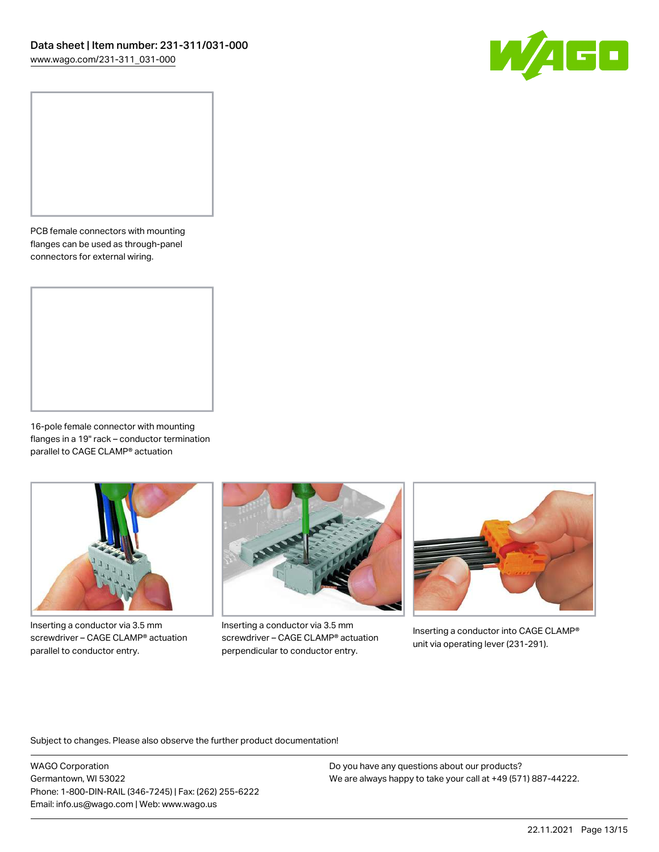

PCB female connectors with mounting flanges can be used as through-panel connectors for external wiring.

16-pole female connector with mounting flanges in a 19" rack – conductor termination parallel to CAGE CLAMP® actuation



Inserting a conductor via 3.5 mm screwdriver – CAGE CLAMP® actuation parallel to conductor entry.



Inserting a conductor via 3.5 mm screwdriver – CAGE CLAMP® actuation perpendicular to conductor entry.



Inserting a conductor into CAGE CLAMP® unit via operating lever (231-291).

Subject to changes. Please also observe the further product documentation!

WAGO Corporation Germantown, WI 53022 Phone: 1-800-DIN-RAIL (346-7245) | Fax: (262) 255-6222 Email: info.us@wago.com | Web: www.wago.us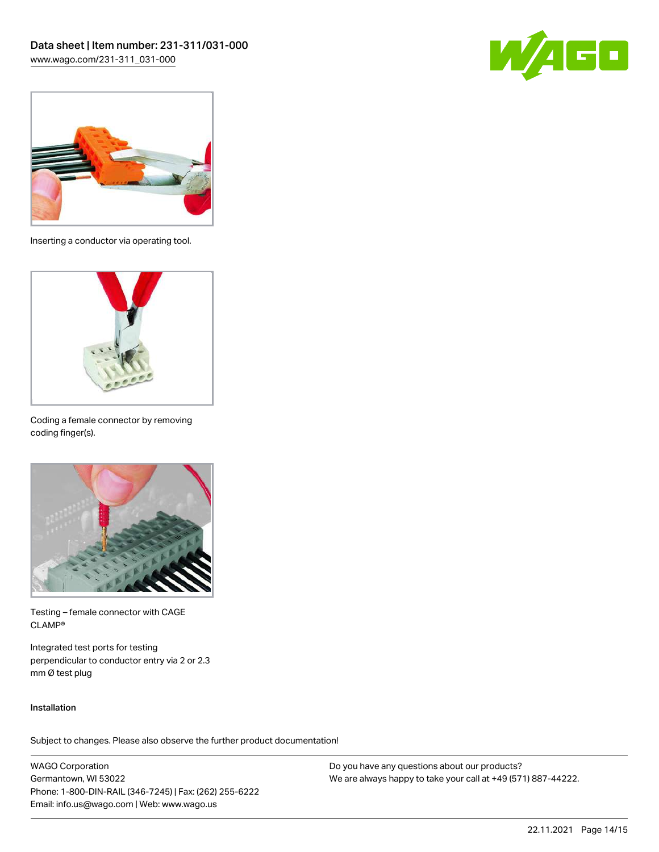



Inserting a conductor via operating tool.



Coding a female connector by removing coding finger(s).



Testing – female connector with CAGE CLAMP®

Integrated test ports for testing perpendicular to conductor entry via 2 or 2.3 mm Ø test plug

#### Installation

Subject to changes. Please also observe the further product documentation!

WAGO Corporation Germantown, WI 53022 Phone: 1-800-DIN-RAIL (346-7245) | Fax: (262) 255-6222 Email: info.us@wago.com | Web: www.wago.us